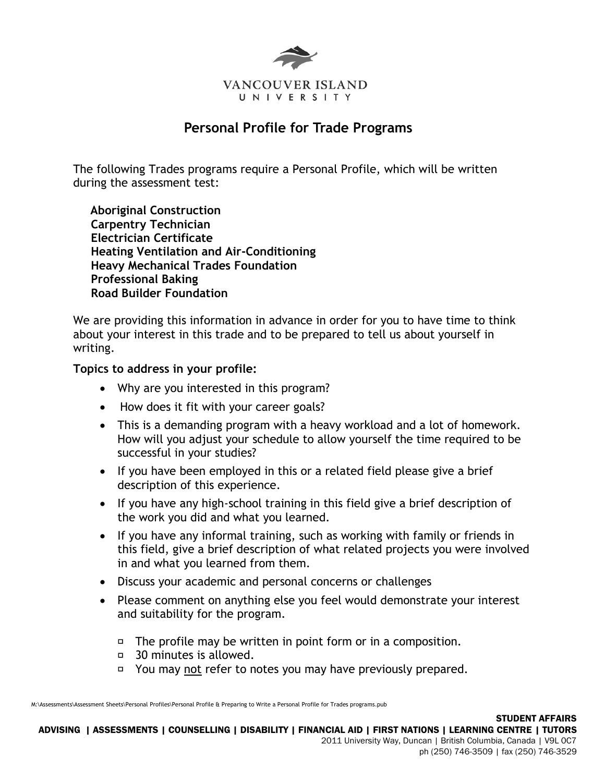

# **Personal Profile for Trade Programs**

The following Trades programs require a Personal Profile, which will be written during the assessment test:

 **Aboriginal Construction Carpentry Technician Electrician Certificate Heating Ventilation and Air-Conditioning Heavy Mechanical Trades Foundation Professional Baking Road Builder Foundation**

We are providing this information in advance in order for you to have time to think about your interest in this trade and to be prepared to tell us about yourself in writing.

#### **Topics to address in your profile:**

- Why are you interested in this program?
- How does it fit with your career goals?
- This is a demanding program with a heavy workload and a lot of homework. How will you adjust your schedule to allow yourself the time required to be successful in your studies?
- If you have been employed in this or a related field please give a brief description of this experience.
- If you have any high-school training in this field give a brief description of the work you did and what you learned.
- If you have any informal training, such as working with family or friends in this field, give a brief description of what related projects you were involved in and what you learned from them.
- Discuss your academic and personal concerns or challenges
- Please comment on anything else you feel would demonstrate your interest and suitability for the program.
	- $\Box$  The profile may be written in point form or in a composition.
	- □ 30 minutes is allowed.
	- □ You may not refer to notes you may have previously prepared.

M:\Assessments\Assessment Sheets\Personal Profiles\Personal Profile & Preparing to Write a Personal Profile for Trades programs.pub